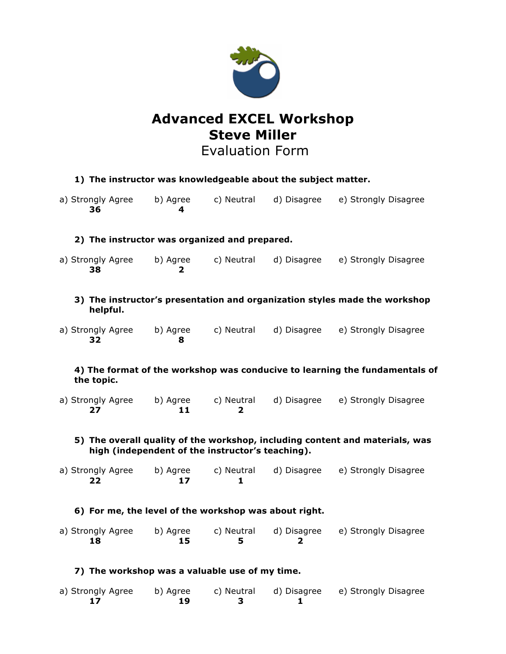

# **Advanced EXCEL Workshop Steve Miller**

Evaluation Form

| 1) The instructor was knowledgeable about the subject matter.                             |                                                                                                                                  |          |                   |                |                 |                  |                                                                            |  |
|-------------------------------------------------------------------------------------------|----------------------------------------------------------------------------------------------------------------------------------|----------|-------------------|----------------|-----------------|------------------|----------------------------------------------------------------------------|--|
|                                                                                           |                                                                                                                                  | 36       | a) Strongly Agree | b) Agree<br>4  | c) Neutral      | d) Disagree      | e) Strongly Disagree                                                       |  |
|                                                                                           | 2) The instructor was organized and prepared.                                                                                    |          |                   |                |                 |                  |                                                                            |  |
|                                                                                           |                                                                                                                                  | 38       | a) Strongly Agree | b) Agree<br>2  | c) Neutral      | d) Disagree      | e) Strongly Disagree                                                       |  |
|                                                                                           |                                                                                                                                  | helpful. |                   |                |                 |                  | 3) The instructor's presentation and organization styles made the workshop |  |
|                                                                                           |                                                                                                                                  | 32       | a) Strongly Agree | b) Agree<br>8  | c) Neutral      | d) Disagree      | e) Strongly Disagree                                                       |  |
| 4) The format of the workshop was conducive to learning the fundamentals of<br>the topic. |                                                                                                                                  |          |                   |                |                 |                  |                                                                            |  |
|                                                                                           |                                                                                                                                  | 27       | a) Strongly Agree | b) Agree<br>11 | c) Neutral<br>2 | d) Disagree      | e) Strongly Disagree                                                       |  |
|                                                                                           | 5) The overall quality of the workshop, including content and materials, was<br>high (independent of the instructor's teaching). |          |                   |                |                 |                  |                                                                            |  |
|                                                                                           |                                                                                                                                  | 22       | a) Strongly Agree | b) Agree<br>17 | c) Neutral<br>1 | d) Disagree      | e) Strongly Disagree                                                       |  |
|                                                                                           | 6) For me, the level of the workshop was about right.                                                                            |          |                   |                |                 |                  |                                                                            |  |
|                                                                                           |                                                                                                                                  | 18       | a) Strongly Agree | b) Agree<br>15 | c) Neutral<br>5 | d) Disagree<br>2 | e) Strongly Disagree                                                       |  |
|                                                                                           | 7) The workshop was a valuable use of my time.                                                                                   |          |                   |                |                 |                  |                                                                            |  |
|                                                                                           |                                                                                                                                  | 17       | a) Strongly Agree | b) Agree<br>19 | c) Neutral<br>3 | d) Disagree<br>1 | e) Strongly Disagree                                                       |  |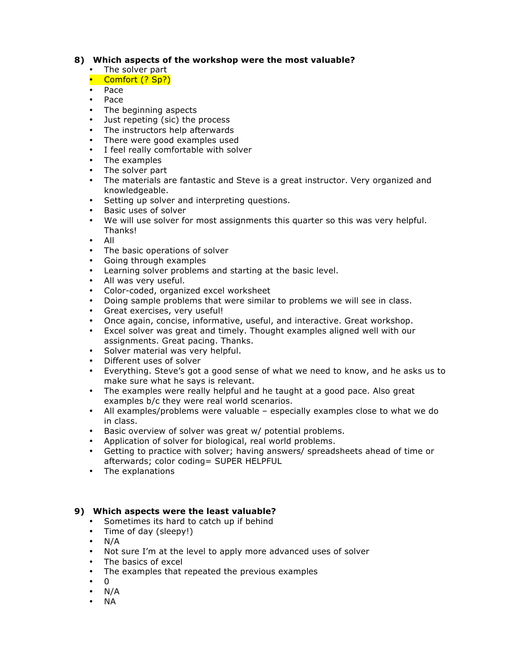### **8) Which aspects of the workshop were the most valuable?**

• The solver part

# • Comfort (? Sp?)

- Pace
- Pace
- The beginning aspects
- Just repeting (sic) the process
- The instructors help afterwards
- There were good examples used
- I feel really comfortable with solver
- The examples
- The solver part
- The materials are fantastic and Steve is a great instructor. Very organized and knowledgeable.
- Setting up solver and interpreting questions.
- Basic uses of solver
- We will use solver for most assignments this quarter so this was very helpful. Thanks!
- All
- The basic operations of solver
- Going through examples
- Learning solver problems and starting at the basic level.
- All was very useful.
- Color-coded, organized excel worksheet
- Doing sample problems that were similar to problems we will see in class.
- Great exercises, very useful!
- Once again, concise, informative, useful, and interactive. Great workshop.
- Excel solver was great and timely. Thought examples aligned well with our assignments. Great pacing. Thanks.
- Solver material was very helpful.
- Different uses of solver
- Everything. Steve's got a good sense of what we need to know, and he asks us to make sure what he says is relevant.
- The examples were really helpful and he taught at a good pace. Also great examples b/c they were real world scenarios.
- All examples/problems were valuable especially examples close to what we do in class.
- Basic overview of solver was great w/ potential problems.
- Application of solver for biological, real world problems.
- Getting to practice with solver; having answers/ spreadsheets ahead of time or afterwards; color coding= SUPER HELPFUL
- The explanations

## **9) Which aspects were the least valuable?**

- Sometimes its hard to catch up if behind
- Time of day (sleepy!)
- $\cdot$  N/A
- Not sure I'm at the level to apply more advanced uses of solver
- The basics of excel
- The examples that repeated the previous examples
- 0
- N/A
- NA